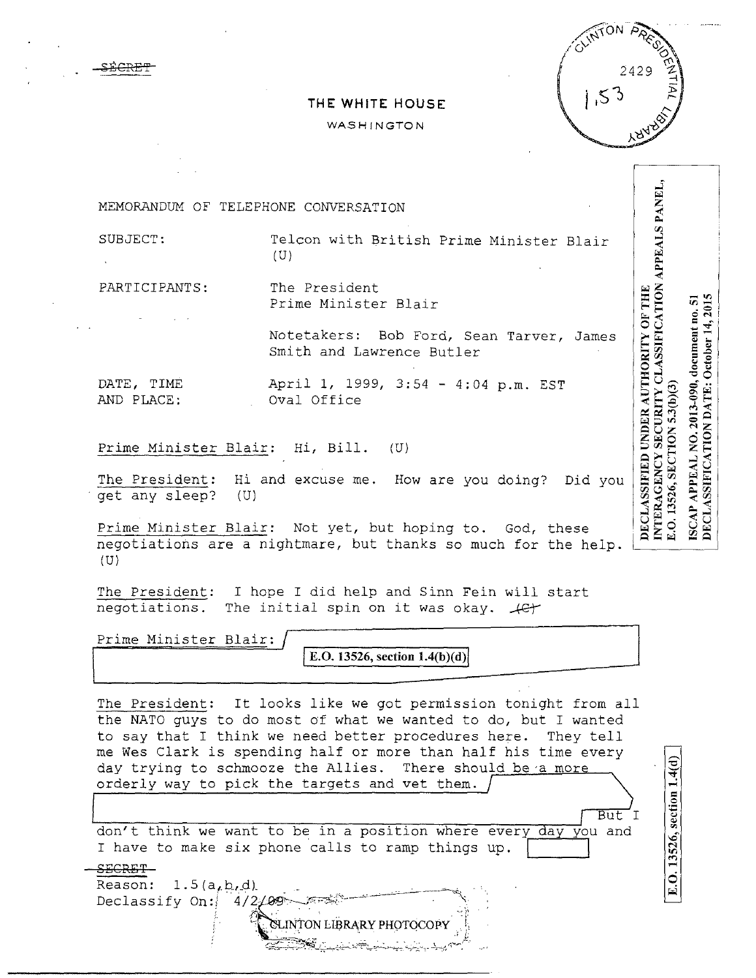## **THE WHITE HOUSE**

## WASHINGTON

| MEMORANDUM OF TELEPHONE CONVERSATION |                                                                                                                            |                                                          |
|--------------------------------------|----------------------------------------------------------------------------------------------------------------------------|----------------------------------------------------------|
| SUBJECT:                             | Telcon with British Prime Minister Blair<br>(U)                                                                            | <b>APPEALS PANEI</b>                                     |
| PARTICIPANTS:                        | The President<br>Prime Minister Blair                                                                                      | NON<br>THE<br>v.                                         |
|                                      | Notetakers: Bob Ford, Sean Tarver, James<br>Smith and Lawrence Butler                                                      | document no<br>SSIFI<br><b>THORITY</b><br><b>October</b> |
| DATE, TIME<br>AND PLACE:             | April 1, 1999, 3:54 - 4:04 p.m. EST<br>Oval Office                                                                         | $-090,$<br>Ë.<br>$\mathbf{A}$<br>ò,                      |
| Prime Minister Blair: Hi, Bill. (U)  |                                                                                                                            | TION<br>Ž                                                |
| get any sleep?<br>(U)                | The President: Hi and excuse me. How are you doing? Did you                                                                | SSIFICA<br>PPEAL<br>SIFIEL<br>Ø                          |
|                                      | Prime Minister Blair: Not yet, but hoping to. God, these<br>negotiations are a nightmare, but thanks so much for the help. | DECLA<br>DECI                                            |

 $(U)$ 

£ECRE'l'

The President: I hope I did help and Sinn Fein will start negotiations. The initial spin on it was okay.  $\mathcal{L}$ 

**Prime Minister Blair: IE.O. 13526, section 1.4(b)(d)** 

The President: It looks like we got permission tonight from all the NATO guys to do most of what we wanted to do, but I wanted to say that I think we need better procedures here. They tell me Wes Clark is spending half or more than half his time every day trying to schmooze the Allies. There should be a more orderly way to pick the targets and vet them.  $\overline{But}$  I

> SLINTON LIBRARY PHOTOCOPY ·. ~?.~::~:\_,;\_:.,-·~;'~~:--i.~-~·--~~~-'-'.;,,;;.. ;- -\-:;', 1;·~~:·1:: *..*

don't think we want to be in a position where every day you and I have to make six phone calls to ramp things up. I have to make six phone calls to ramp things up.

.SECRET Reason:  $1.5(a,b,d)$ . ' . ' . . - . . . --=------ ----· "" Declassify On:  $4/2/99$ 

E.O. 13526, section 1.4(d)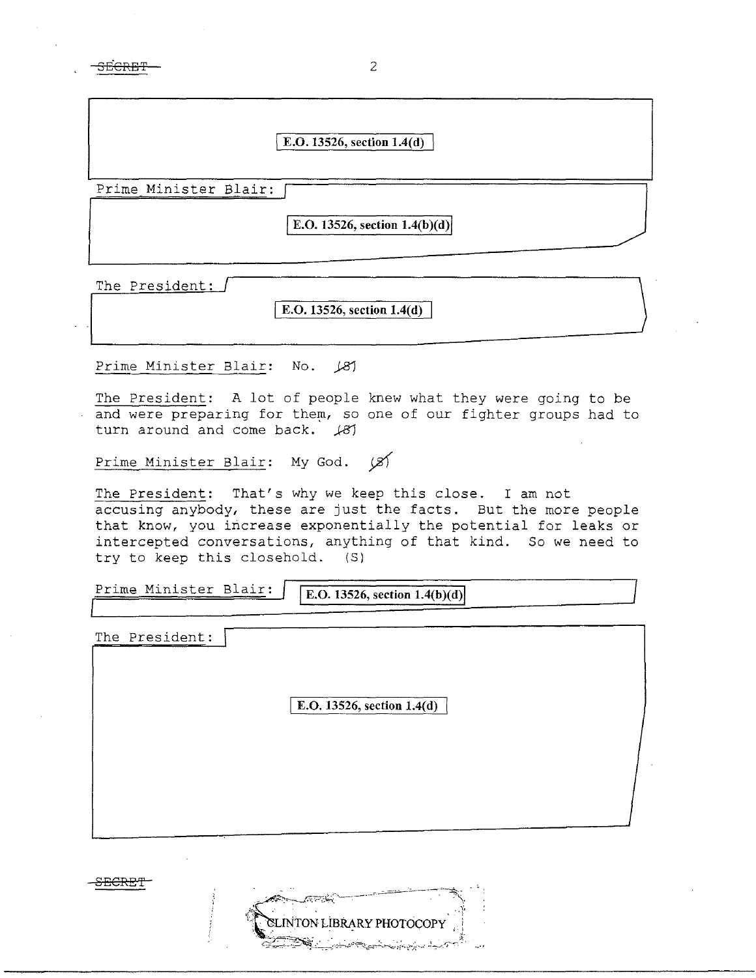<del>SECRET</del>

|                       | E.O. 13526, section 1.4(d)      |  |
|-----------------------|---------------------------------|--|
| Prime Minister Blair: | E.O. 13526, section $1.4(b)(d)$ |  |
| The President:        |                                 |  |

2

I **E.O. 13526, section 1.4(d)** 

Prime Minister Blair: No. *j8}* 

The President: A lot of people knew what they were going to be and were preparing for them, so one of our fighter groups had to turn around and come back. *j8}* 

Prime Minister Blair: My God.  $\cancel{\mathcal{Z}}$ 

The President: That's why we keep this close. I am not accusing anybody, these are just the facts. But the more people that know, you increase exponentially the potential for leaks or intercepted conversations, anything of that kind. So we need to try to keep this closehold. (S)

Prime Minister Blair: **F.O. 13526, section 1.4(b)(d)** 

The President:

**E.O. 13526, section 1.4(d)** 

TON LIBRARY PHOTOCOPY

-SE<del>CRET'</del>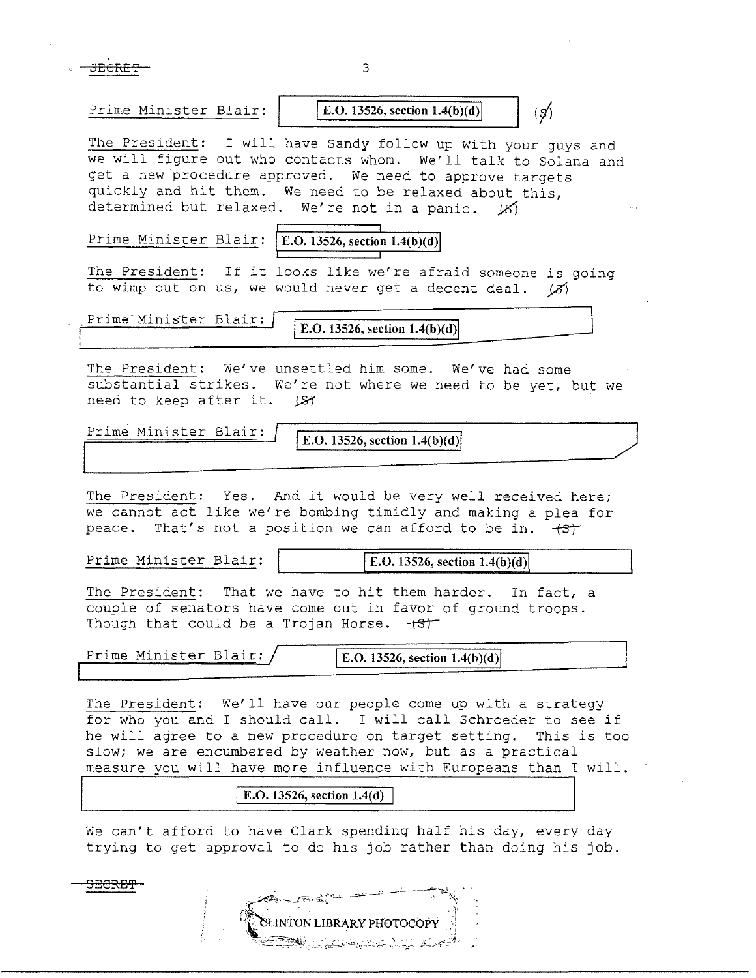$\overline{\text{3ECRET}}$  3

Prime Minister Blair: **IE.O. 13526, section 1.4(b)(d)** 

 $\langle \, \mathcal{G} \rangle$ 

The President: I will have Sandy follow up with your guys and we will figure out who contacts whom. We'll talk to Solana and get a new procedure approved. We need to approve targets quickly and hit them. We need to be relaxed about this, determined but relaxed. We're not in a panic.  $\cancel{8}$ 

Prime Minister Blair: **E.O. 13526, section 1.4(b)(d)** 

The President: If it looks like we're afraid someone is going to wimp out on us, we would never get a decent deal.  $(S)$ 

Prime<sup>-</sup>Minister Blair: **IE.O.** 13526, section 1.4(b)(d)

The President: We've unsettled him some. We've had some substantial strikes. We're not where we need to be yet, but we need to keep after it.  $\Box$ 

**Prime Minister Blair: E.O. 13526, section 1.4(b)(d)** 

The President: Yes. And it would be very well received here; we cannot act like we're bombing timidly and making a plea for peace. That's not a position we can afford to be in.  $+3+$ 

**Prime Minister Blair: | IE.O. 13526, section 1.4(b)(d)** 

The President: That we have to hit them harder. In fact, a couple of senators have come out in favor of ground troops. Though that could be a Trojan Horse.  $+ST$ 

**Prime Minister Blair: I E.O. 13526, section 1.4(b)(d)** 

The President: We'll have our people come up with a strategy for who you and I should call. I will call Schroeder to see if he will agree to a new procedure on target setting. This is too slow; we are encumbered by weather now, but as a practical measure you will have more influence with Europeans than I will.

## **E.O. 13526, section 1.4(d)**

We can't afford to have Clark spending half his day, every day trying to get approval to do his job rather than doing his job.

**INTON LIBRARY PHOTOCOPY** 

SECRE'P